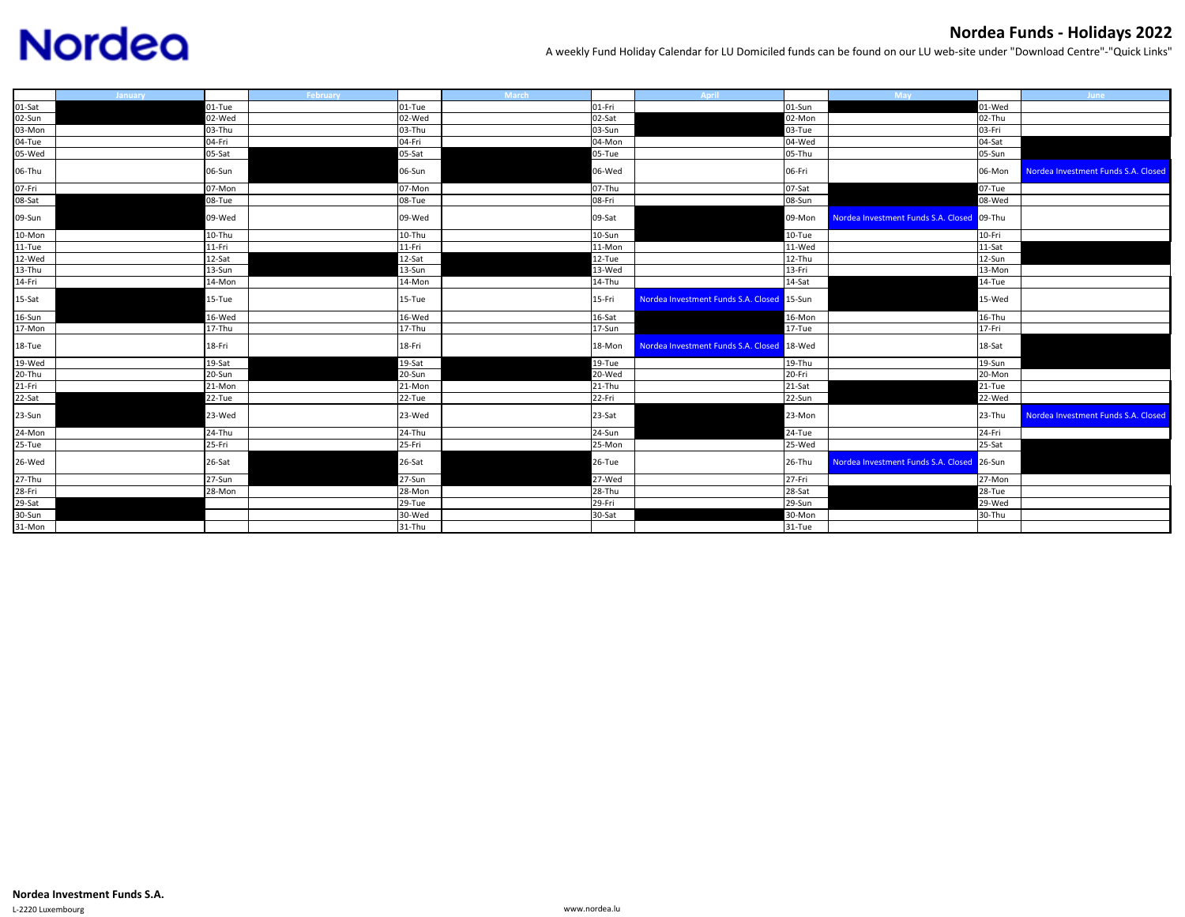## **Nordea**

## **Nordea Funds ‐ Holidays 2022**

A weekly Fund Holiday Calendar for LU Domiciled funds can be found on our LU web‐site under "Download Centre"‐"Quick Links"

|        | January |        | February | <b>March</b> | April                                      |          | <b>May</b>                                 |        | <b>June</b>                         |
|--------|---------|--------|----------|--------------|--------------------------------------------|----------|--------------------------------------------|--------|-------------------------------------|
| 01-Sat |         | 01-Tue | 01-Tue   | 01-Fri       |                                            | 01-Sun   |                                            | 01-Wed |                                     |
| 02-Sun |         | 02-Wed | 02-Wed   | 02-Sat       |                                            | 02-Mon   |                                            | 02-Thu |                                     |
| 03-Mon |         | 03-Thu | 03-Thu   | 03-Sun       |                                            | 03-Tue   |                                            | 03-Fri |                                     |
| 04-Tue |         | 04-Fri | 04-Fri   | 04-Mon       |                                            | 04-Wed   |                                            | 04-Sat |                                     |
| 05-Wed |         | 05-Sat | 05-Sat   | 05-Tue       |                                            | 05-Thu   |                                            | 05-Sun |                                     |
| 06-Thu |         | 06-Sun | 06-Sun   | 06-Wed       |                                            | 06-Fri   |                                            | 06-Mon | Nordea Investment Funds S.A. Closed |
| 07-Fri |         | 07-Mon | 07-Mon   | 07-Thu       |                                            | 07-Sat   |                                            | 07-Tue |                                     |
| 08-Sat |         | 08-Tue | 08-Tue   | 08-Fri       |                                            | 08-Sun   |                                            | 08-Wed |                                     |
| 09-Sun |         | 09-Wed | 09-Wed   | 09-Sat       |                                            | 09-Mon   | Nordea Investment Funds S.A. Closed 09-Thu |        |                                     |
| 10-Mon |         | 10-Thu | 10-Thu   | 10-Sun       |                                            | $10-Tue$ |                                            | 10-Fri |                                     |
| 11-Tue |         | 11-Fri | 11-Fri   | 11-Mon       |                                            | 11-Wed   |                                            | 11-Sat |                                     |
| 12-Wed |         | 12-Sat | 12-Sat   | 12-Tue       |                                            | 12-Thu   |                                            | 12-Sun |                                     |
| 13-Thu |         | 13-Sun | 13-Sun   | 13-Wed       |                                            | 13-Fri   |                                            | 13-Mon |                                     |
| 14-Fri |         | 14-Mon | 14-Mon   | 14-Thu       |                                            | 14-Sat   |                                            | 14-Tue |                                     |
| 15-Sat |         | 15-Tue | 15-Tue   | 15-Fri       | Nordea Investment Funds S.A. Closed 15-Sun |          |                                            | 15-Wed |                                     |
| 16-Sun |         | 16-Wed | 16-Wed   | 16-Sat       |                                            | 16-Mon   |                                            | 16-Thu |                                     |
| 17-Mon |         | 17-Thu | 17-Thu   | 17-Sun       |                                            | 17-Tue   |                                            | 17-Fri |                                     |
| 18-Tue |         | 18-Fri | 18-Fri   | 18-Mon       | Nordea Investment Funds S.A. Closed 18-Wed |          |                                            | 18-Sat |                                     |
| 19-Wed |         | 19-Sat | 19-Sat   | 19-Tue       |                                            | 19-Thu   |                                            | 19-Sun |                                     |
| 20-Thu |         | 20-Sun | 20-Sun   | 20-Wed       |                                            | 20-Fri   |                                            | 20-Mon |                                     |
| 21-Fri |         | 21-Mon | 21-Mon   | 21-Thu       |                                            | 21-Sat   |                                            | 21-Tue |                                     |
| 22-Sat |         | 22-Tue | 22-Tue   | 22-Fri       |                                            | 22-Sun   |                                            | 22-Wed |                                     |
| 23-Sun |         | 23-Wed | 23-Wed   | 23-Sat       |                                            | 23-Mon   |                                            | 23-Thu | Nordea Investment Funds S.A. Closed |
| 24-Mon |         | 24-Thu | 24-Thu   | 24-Sun       |                                            | 24-Tue   |                                            | 24-Fri |                                     |
| 25-Tue |         | 25-Fri | 25-Fri   | 25-Mon       |                                            | 25-Wed   |                                            | 25-Sat |                                     |
| 26-Wed |         | 26-Sat | 26-Sat   | 26-Tue       |                                            | 26-Thu   | Nordea Investment Funds S.A. Closed 26-Sun |        |                                     |
| 27-Thu |         | 27-Sun | $27-Sun$ | 27-Wed       |                                            | 27-Fri   |                                            | 27-Mon |                                     |
| 28-Fri |         | 28-Mon | 28-Mon   | 28-Thu       |                                            | 28-Sat   |                                            | 28-Tue |                                     |
| 29-Sat |         |        | 29-Tue   | 29-Fri       |                                            | 29-Sun   |                                            | 29-Wed |                                     |
| 30-Sun |         |        | 30-Wed   | 30-Sat       |                                            | 30-Mon   |                                            | 30-Thu |                                     |
| 31-Mon |         |        | 31-Thu   |              |                                            | 31-Tue   |                                            |        |                                     |